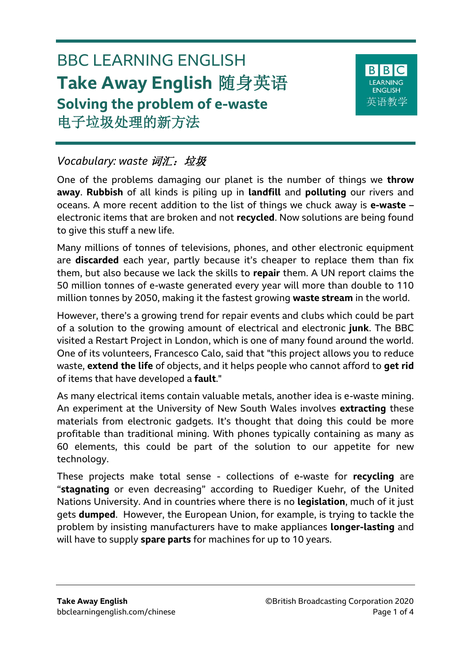# BBC LEARNING ENGLISH **Take Away English** 随身英语 **Solving the problem of e-waste** 电子垃圾处理的新方法



# *Vocabulary: waste* 词汇:垃圾

One of the problems damaging our planet is the number of things we **throw away**. **Rubbish** of all kinds is piling up in **landfill** and **polluting** our rivers and oceans. A more recent addition to the list of things we chuck away is **e-waste** – electronic items that are broken and not **recycled**. Now solutions are being found to give this stuff a new life.

Many millions of tonnes of televisions, phones, and other electronic equipment are **discarded** each year, partly because it's cheaper to replace them than fix them, but also because we lack the skills to **repair** them. A UN report claims the 50 million tonnes of e-waste generated every year will more than double to 110 million tonnes by 2050, making it the fastest growing **waste stream** in the world.

However, there's a growing trend for repair events and clubs which could be part of a solution to the growing amount of electrical and electronic **junk**. The BBC visited a Restart Project in London, which is one of many found around the world. One of its volunteers, Francesco Calo, said that "this project allows you to reduce waste, **extend the life** of objects, and it helps people who cannot afford to **get rid** of items that have developed a **fault**."

As many electrical items contain valuable metals, another idea is e-waste mining. An experiment at the University of New South Wales involves **extracting** these materials from electronic gadgets. It's thought that doing this could be more profitable than traditional mining. With phones typically containing as many as 60 elements, this could be part of the solution to our appetite for new technology.

These projects make total sense - collections of e-waste for **recycling** are "**stagnating** or even decreasing" according to Ruediger Kuehr, of the United Nations University. And in countries where there is no **legislation**, much of it just gets **dumped**. However, the European Union, for example, is trying to tackle the problem by insisting manufacturers have to make appliances **longer-lasting** and will have to supply **spare parts** for machines for up to 10 years.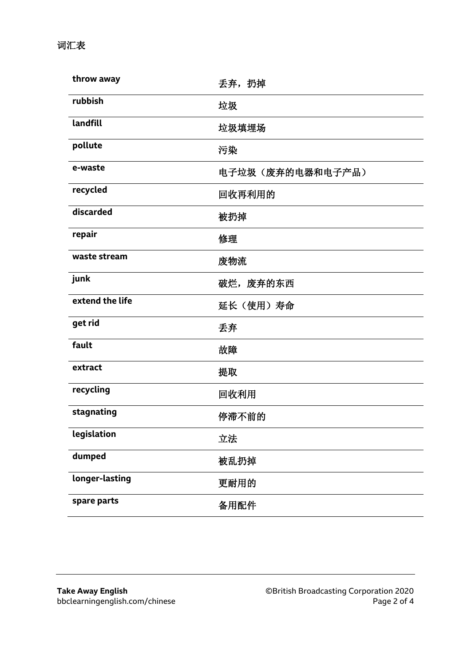词汇表

| throw away      | 丢弃, 扔掉           |
|-----------------|------------------|
| rubbish         | 垃圾               |
| landfill        | 垃圾填埋场            |
| pollute         | 污染               |
| e-waste         | 电子垃圾(废弃的电器和电子产品) |
| recycled        | 回收再利用的           |
| discarded       | 被扔掉              |
| repair          | 修理               |
| waste stream    | 废物流              |
| junk            | 破烂, 废弃的东西        |
| extend the life |                  |
|                 | 延长(使用)寿命         |
| get rid         | 丢弃               |
| fault           | 故障               |
| extract         | 提取               |
| recycling       | 回收利用             |
| stagnating      | 停滞不前的            |
| legislation     | 立法               |
| dumped          | 被乱扔掉             |
| longer-lasting  | 更耐用的             |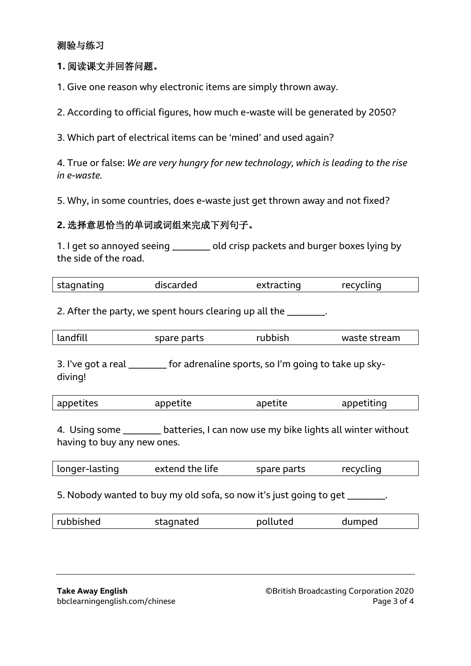#### 测验与练习

#### **1.** 阅读课文并回答问题。

1. Give one reason why electronic items are simply thrown away.

2. According to official figures, how much e-waste will be generated by 2050?

3. Which part of electrical items can be 'mined' and used again?

4. True or false: *We are very hungry for new technology, which is leading to the rise in e-waste.*

5. Why, in some countries, does e-waste just get thrown away and not fixed?

#### **2.** 选择意思恰当的单词或词组来完成下列句子。

1. I get so annoyed seeing \_\_\_\_\_\_\_\_ old crisp packets and burger boxes lying by the side of the road.

| stagnating | discarded | extracting | recycling |  |
|------------|-----------|------------|-----------|--|
|            |           |            |           |  |

2. After the party, we spent hours clearing up all the \_\_\_\_\_\_\_.

|  | landfill | spare parts | rubbish | waste stream |
|--|----------|-------------|---------|--------------|
|--|----------|-------------|---------|--------------|

3. I've got a real \_\_\_\_\_\_\_\_ for adrenaline sports, so I'm going to take up skydiving!

| appetites | appetite | apetite | appetiting |
|-----------|----------|---------|------------|
|           |          |         |            |

4. Using some \_\_\_\_\_\_\_\_\_ batteries, I can now use my bike lights all winter without having to buy any new ones.

| longer-lasting | extend the life | spare parts | recycling |  |
|----------------|-----------------|-------------|-----------|--|
|                |                 |             |           |  |

5. Nobody wanted to buy my old sofa, so now it's just going to get \_\_\_\_\_\_\_.

| rubbished | stagnated | polluted | dumped |  |
|-----------|-----------|----------|--------|--|
|           |           |          |        |  |